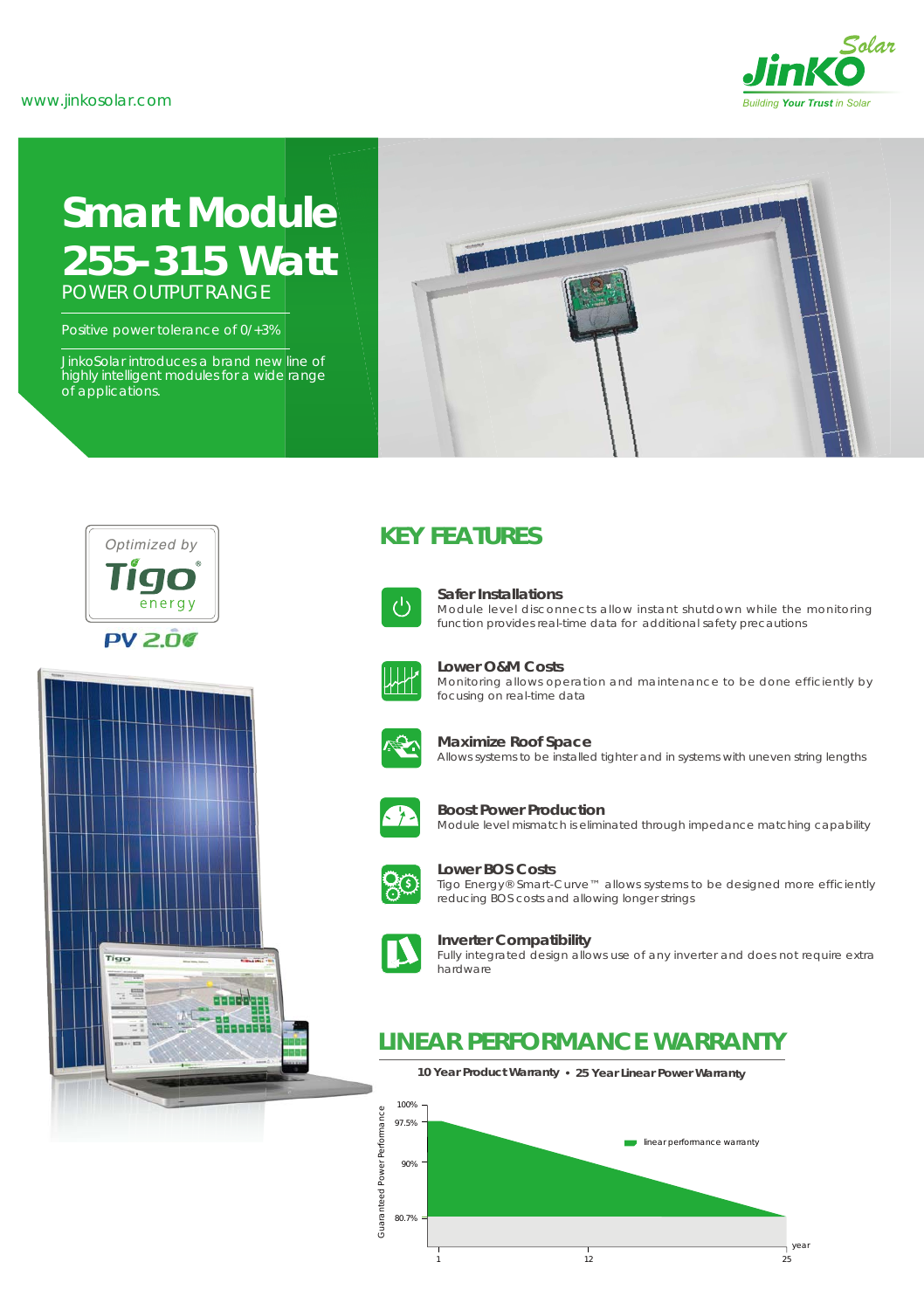

# **Smart Module** *255-315 Watt* POWER OUTPUT RANGE

Positive power tolerance of 0/+3%

JinkoSolar introduces a brand new line of highly intelligent modules for a wide range of applications.







# **KEY FEATURES**



### **Safer Installations**

Module level disconnects allow instant shutdown while the monitoring function provides real-time data for additional safety precautions



**Lower O&M Costs**

Monitoring allows operation and maintenance to be done efficiently by focusing on real-time data



#### **Maximize Roof Space**

Allows systems to be installed tighter and in systems with uneven string lengths



#### **Boost Power Production**

Module level mismatch is eliminated through impedance matching capability



**Lower BOS Costs** Tigo Energy® Smart-Curve™ allows systems to be designed more efficiently reducing BOS costs and allowing longer strings



### **Inverter Compatibility**

Fully integrated design allows use of any inverter and does not require extra hardware

# **LINEAR PERFORMANCE WARRANTY**

**10 Year Product Warranty 25 Year Linear Power Warranty**

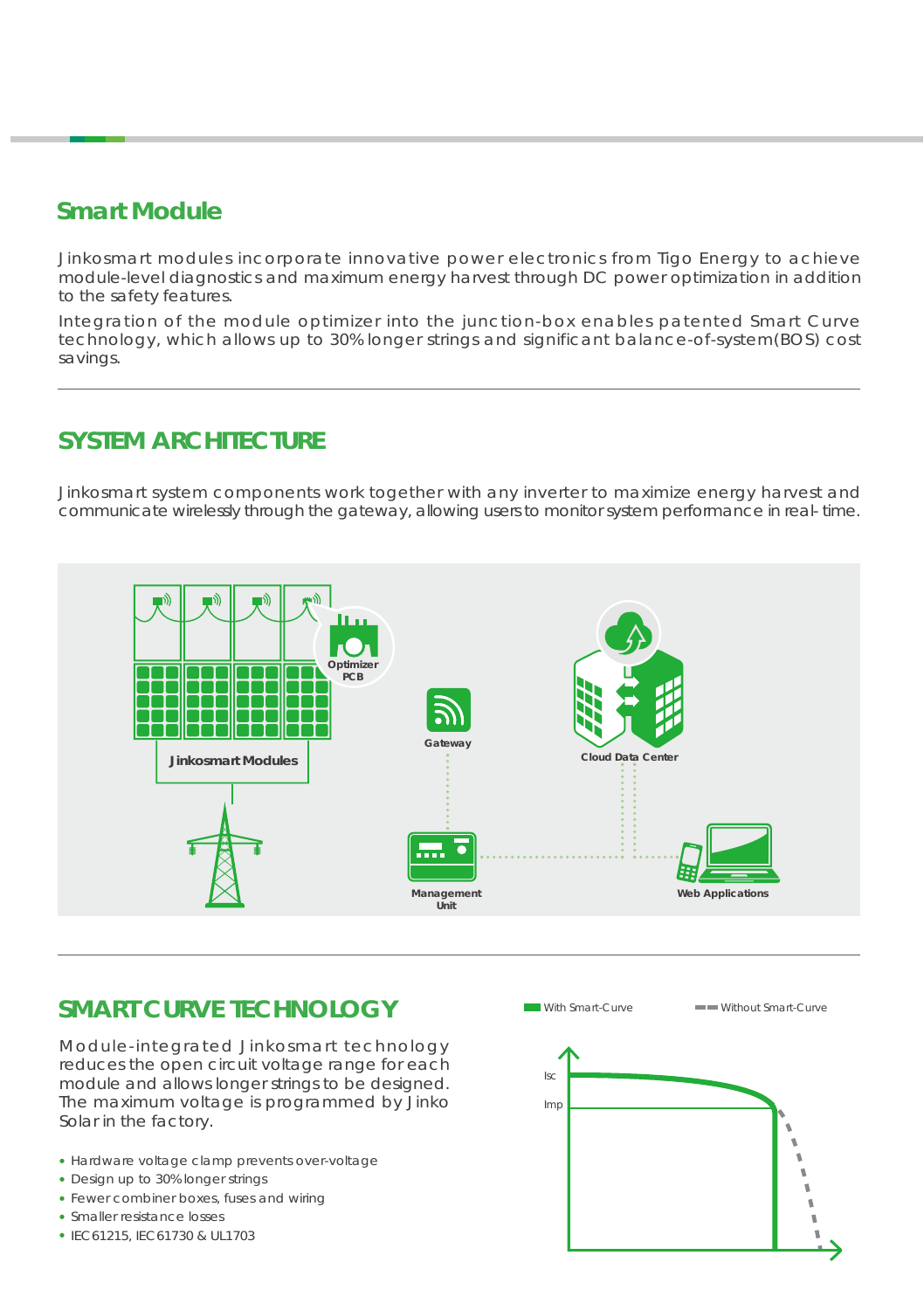# **Smart Module**

Jinkosmart modules incorporate innovative power electronics from Tigo Energy to achieve module-level diagnostics and maximum energy harvest through DC power optimization in addition to the safety features.

Integration of the module optimizer into the junction-box enables patented Smart Curve technology, which allows up to 30% longer strings and significant balance-of-system(BOS) cost savings.

# **SYSTEM ARCHITECTURE**

Jinkosmart system components work together with any inverter to maximize energy harvest and communicate wirelessly through the gateway, allowing users to monitor system performance in real- time.



# **SMART CURVE TECHNOLOGY**

Module-integrated Jinkosmart technology reduces the open circuit voltage range for each module and allows longer strings to be designed. The maximum voltage is programmed by Jinko Solar in the factory.

- Hardware voltage clamp prevents over-voltage
- Design up to 30% longer strings
- Fewer combiner boxes, fuses and wiring
- Smaller resistance losses
- IEC61215, IEC61730 & UL1703

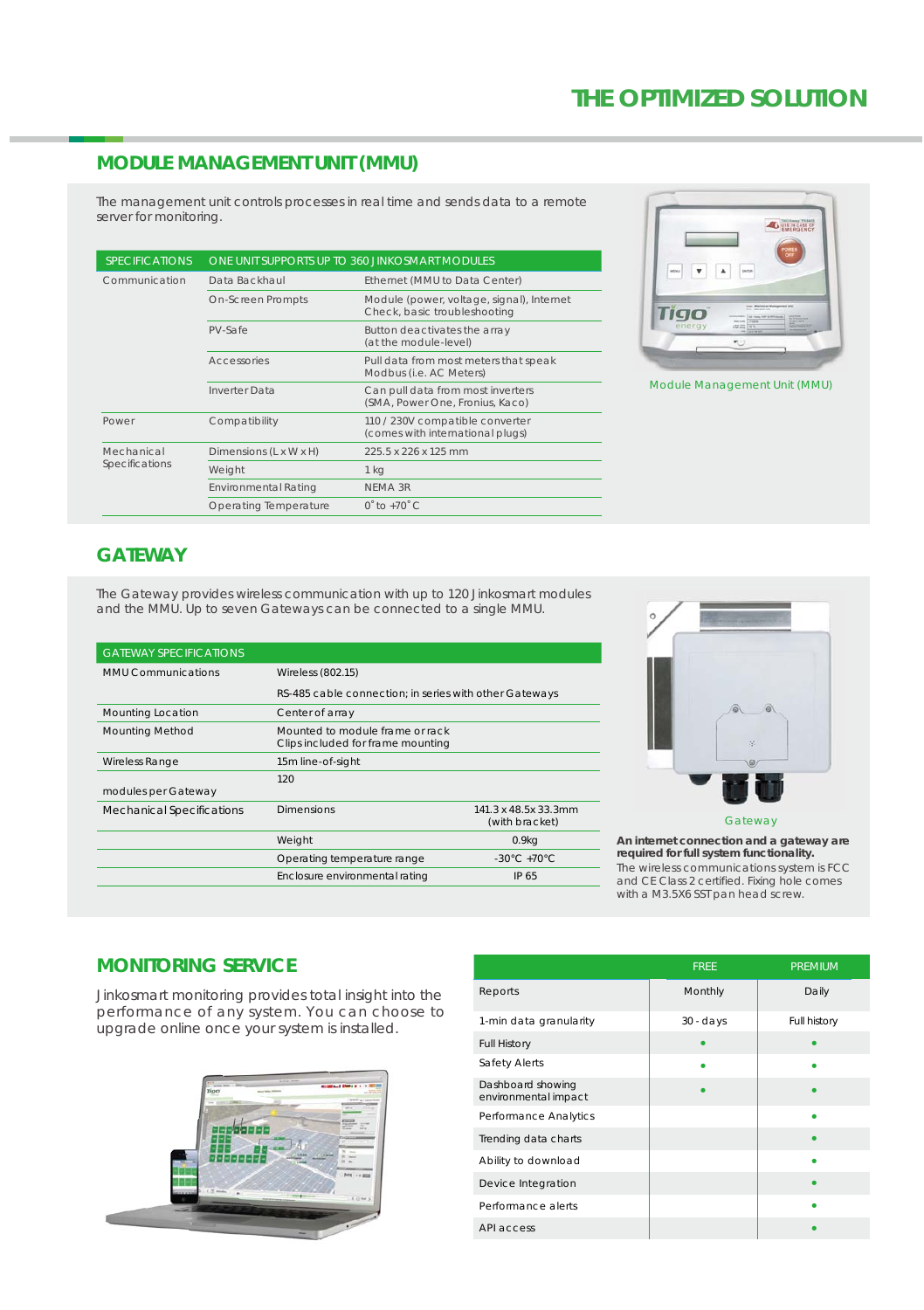## **MODULE MANAGEMENT UNIT (MMU)**

The management unit controls processes in real time and sends data to a remote server for monitoring.

| <b>SPECIFICATIONS</b>        | ONE UNIT SUPPORTS UP TO 360 JINKOSMART MODULES |                                                                           |  |
|------------------------------|------------------------------------------------|---------------------------------------------------------------------------|--|
| Communication                | Data Backhaul                                  | Ethernet (MMU to Data Center)                                             |  |
|                              | <b>On-Screen Prompts</b>                       | Module (power, voltage, signal), Internet<br>Check, basic troubleshooting |  |
|                              | PV-Safe                                        | Button deactivates the array<br>(at the module-level)                     |  |
|                              | <b>Accessories</b>                             | Pull data from most meters that speak<br>Modbus (i.e. AC Meters)          |  |
|                              | <b>Inverter Data</b>                           | Can pull data from most inverters<br>(SMA, Power One, Fronius, Kaco)      |  |
| Power                        | Compatibility                                  | 110 / 230V compatible converter<br>(comes with international plugs)       |  |
| Mechanical<br>Specifications | Dimensions (L x W x H)                         | 225.5 x 226 x 125 mm                                                      |  |
|                              | Weight                                         | 1 <sub>kg</sub>                                                           |  |
|                              | <b>Environmental Rating</b>                    | NEMA 3R                                                                   |  |
|                              | Operating Temperature                          | $0.10 + 10.0$                                                             |  |



Module Management Unit (MMU)

# **GATEWAY**

The Gateway provides wireless communication with up to 120 Jinkosmart modules and the MMU. Up to seven Gateways can be connected to a single MMU.

| <b>GATEWAY SPECIFICATIONS</b> |                                                                      |                                        |  |  |
|-------------------------------|----------------------------------------------------------------------|----------------------------------------|--|--|
| <b>MMU Communications</b>     | Wireless (802.15)                                                    |                                        |  |  |
|                               | RS-485 cable connection; in series with other Gateways               |                                        |  |  |
| Mounting Location             | Center of array                                                      |                                        |  |  |
| <b>Mounting Method</b>        | Mounted to module frame or rack<br>Clips included for frame mounting |                                        |  |  |
| <b>Wireless Range</b>         | 15m line-of-sight                                                    |                                        |  |  |
|                               | 120                                                                  |                                        |  |  |
| modules per Gateway           |                                                                      |                                        |  |  |
| Mechanical Specifications     | <b>Dimensions</b>                                                    | 141.3 x 48.5x 33.3mm<br>(with bracket) |  |  |
|                               | Weight                                                               | 0.9kg                                  |  |  |
|                               | Operating temperature range                                          | $-30^{\circ}$ C $+70^{\circ}$ C        |  |  |
|                               | Enclosure environmental rating                                       | IP 65                                  |  |  |
|                               |                                                                      |                                        |  |  |



Gateway

**An internet connection and a gateway are required for full system functionality.**  The wireless communications system is FCC and CE Class 2 certified. Fixing hole comes with a M3.5X6 SST pan head screw.

# **MONITORING SERVICE**

Jinkosmart monitoring provides total insight into the performance of any system. You can choose to upgrade online once your system is installed.



|                                           | <b>FREE</b> | <b>PREMIUM</b> |
|-------------------------------------------|-------------|----------------|
| Reports                                   | Monthly     | Daily          |
| 1-min data granularity                    | $30 - days$ | Full history   |
| <b>Full History</b>                       |             |                |
| Safety Alerts                             |             |                |
| Dashboard showing<br>environmental impact |             |                |
| Performance Analytics                     |             |                |
| Trending data charts                      |             |                |
| Ability to download                       |             |                |
| Device Integration                        |             |                |
| Performance alerts                        |             |                |
| API access                                |             |                |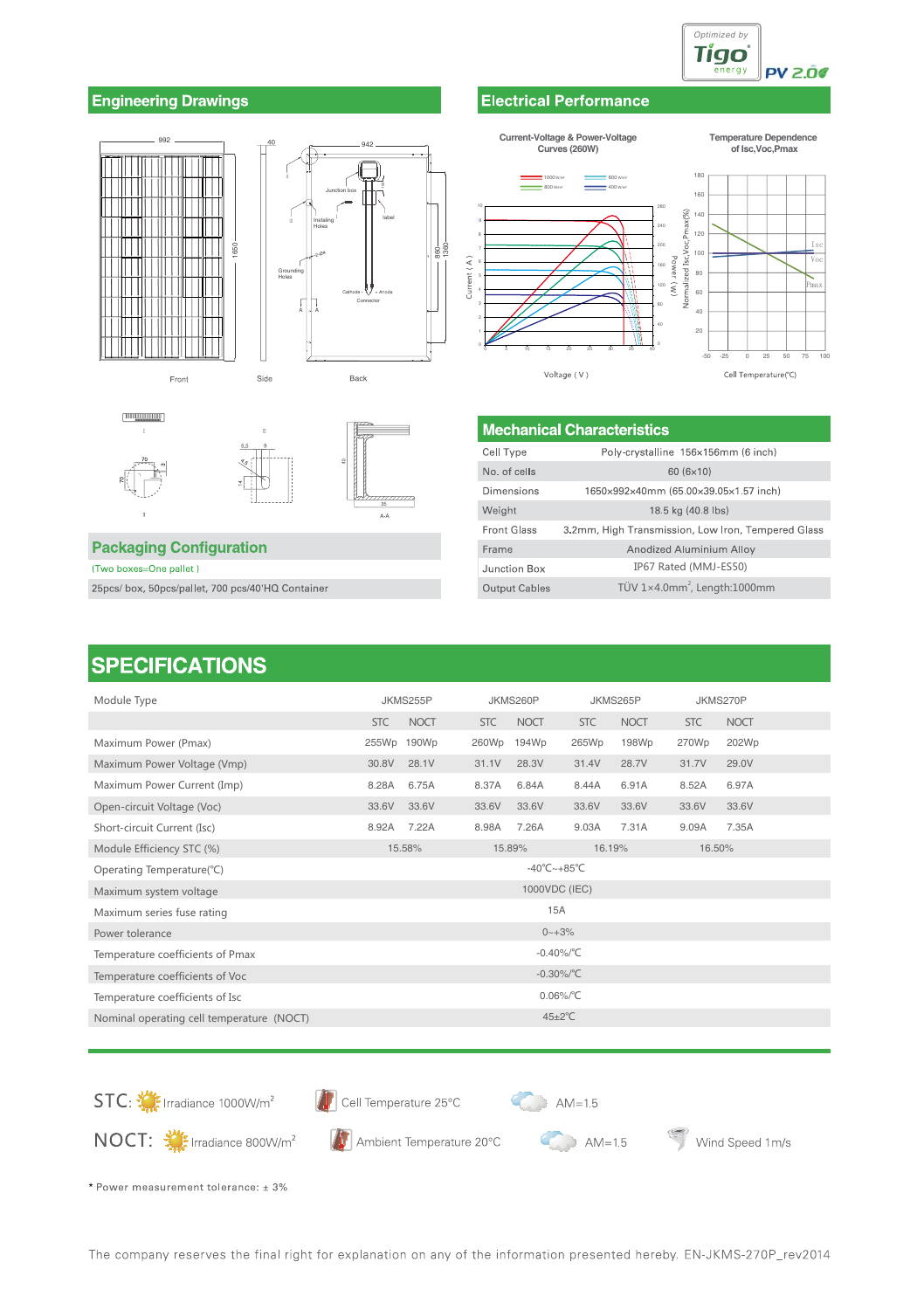

### **Engineering Drawings**







### **Packaging Configuration**

(Two boxes=One pallet)

25pcs/box, 50pcs/pallet, 700 pcs/40'HQ Container

# **SPECIFICATIONS**

#### JKMS270P Module Type JKMS255P JKMS260P JKMS265P **STC NOCT STC NOCT STC NOCT STC NOCT** Maximum Power (Pmax) 202Wp 255Wp 190Wp 260Wp 194Wp 265Wp 198Wp 270Wp Maximum Power Voltage (Vmp) 30.8V  $28.1V$  $31.1V$ 28.3V 31.4V 28.7V 31.7V 29.0V Maximum Power Current (Imp) 8.28A 6.75A 8.37A 6.84A 8.44A 6.91A 8.52A 6.97A Open-circuit Voltage (Voc)  $33.61$  $33.61$  $336V$ 33.6V 33.6V 33.6V 33.6V 33.6V Short-circuit Current (Isc) 7.22A 9.09A 7.35A 8.92A 8.98A 7.26A 9.03A 7.31A Module Efficiency STC (%) 16.50% 15.58% 16.19% 15.89%  $-40^{\circ}$ C $-+85^{\circ}$ C Operating Temperature(°C) Maximum system voltage 1000VDC (IEC) 15A Maximum series fuse rating  $0 - +3%$ Power tolerance  $-0.40\%$ /°C Temperature coefficients of Pmax  $-0.30\%/^{\circ}C$ Temperature coefficients of Voc Temperature coefficients of Isc  $0.06\%$ <sup>°</sup>C Nominal operating cell temperature (NOCT)  $45 \pm 2^{\circ}$ C





Ambient Temperature 20°C



 $AM=1.5$ 

Wind Speed 1m/s

\* Power measurement tolerance: ± 3%

NOCT: W: Irradiance 800W/m<sup>2</sup>

# **Electrical Performance**

#### Current-Voltage & Power-Voltage **Temperature Dependence** Curves (260W) of Isc, Voc, Pmax 18 160  $(\%)$  $140$ Pmä  $120$ rmalized Isc, Voc  $10($  $\widehat{A}$  $\frac{1}{80}$ Current  $\left( \mathcal{N}\right)$  $60$  $40$  $\overline{a}$ Voltage (V) Cell Temperature(°C)

**Mechanical Characteristics** -<br>Cell Type Poly-crystalline 156×156mm (6 inch) No. of cells  $60(6\times10)$ Dimensions 1650×992×40mm (65.00×39.05×1.57 inch) Weight 18.5 kg (40.8 lbs) **Front Glass** 3.2mm, High Transmission, Low Iron, Tempered Glass Frame Anodized Aluminium Alloy Junction Box IP67 Rated (MMJ-ES50) TÜV 1×4.0mm<sup>2</sup>, Length:1000mm Output Cables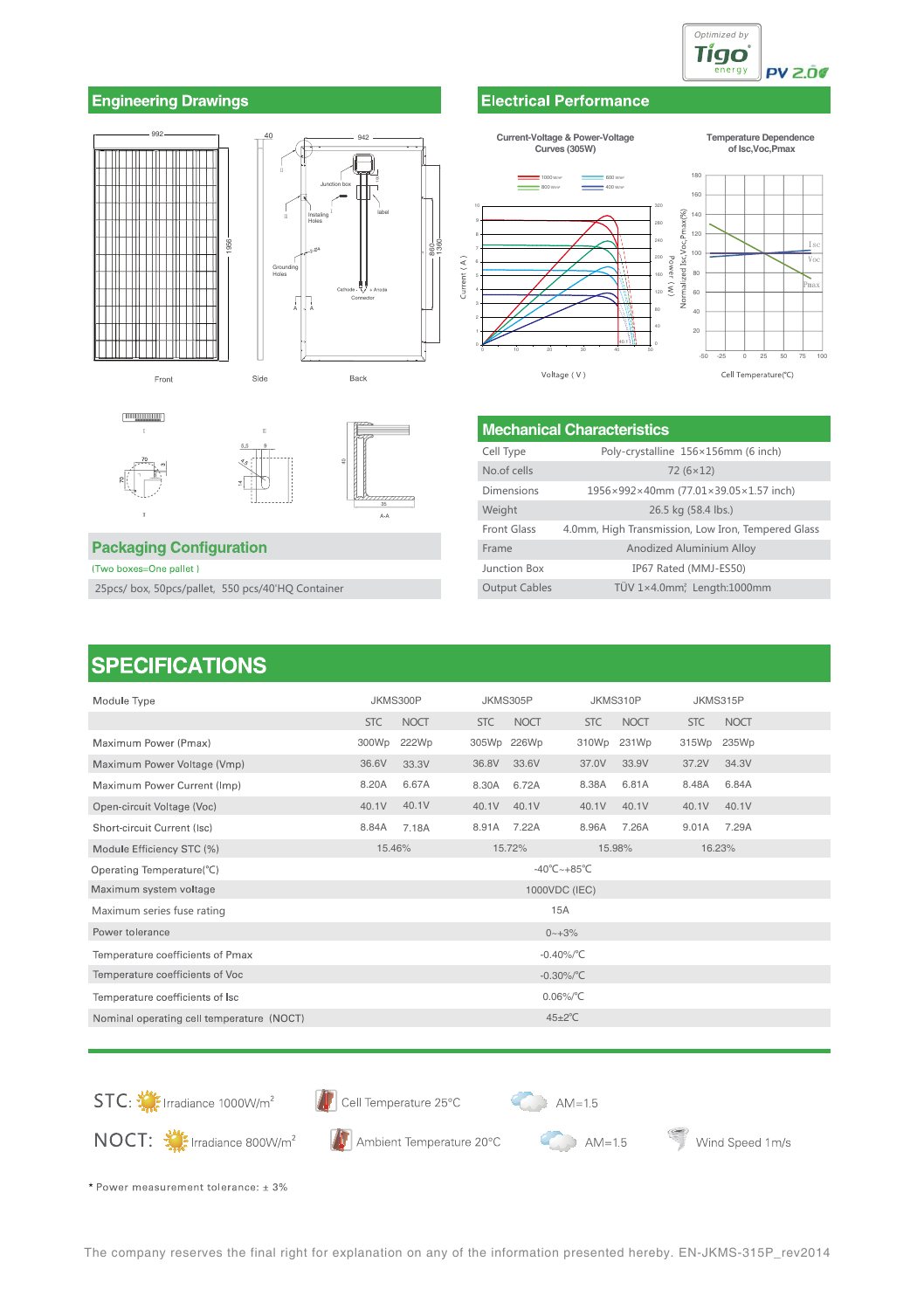

### **Engineering Drawings**









### **Packaging Configuration**

(Two boxes=One pallet)

25pcs/box, 50pcs/pallet, 550 pcs/40'HQ Container

# **SPECIFICATIONS**

| Module Type                               | JKMS300P                  | JKMS305P             | JKMS310P                         | JKMS315P                  |  |
|-------------------------------------------|---------------------------|----------------------|----------------------------------|---------------------------|--|
|                                           | <b>NOCT</b><br><b>STC</b> | <b>NOCT</b><br>STC   | <b>NOCT</b><br><b>STC</b>        | <b>NOCT</b><br><b>STC</b> |  |
| Maximum Power (Pmax)                      | 300Wp<br>222Wp            | 305Wp 226Wp          | 310Wp<br>231Wp                   | 235Wp<br>315Wp            |  |
| Maximum Power Voltage (Vmp)               | 36.6V<br>33.3V            | 33.6V<br>36.8V       | 33.9V<br>37.0V                   | 37.2V<br>34.3V            |  |
| Maximum Power Current (Imp)               | 6.67A<br>8.20A            | 6.72A<br>8.30A       | 6.81A<br>8.38A                   | 8.48A<br>6.84A            |  |
| Open-circuit Voltage (Voc)                | 40.1V<br>40.1V            | 40.1V<br>40.1V       | 40.1V<br>40.1V                   | 40.1V<br>40.1V            |  |
| Short-circuit Current (Isc)               | 8.84A<br>7.18A            | 8.91A 7.22A          | 8.96A<br>7.26A                   | 7.29A<br>9.01A            |  |
| Module Efficiency STC (%)                 | 15.46%                    | 15.72%               | 15.98%                           | 16.23%                    |  |
| Operating Temperature(°C)                 |                           |                      | $-40^{\circ}$ C $-+85^{\circ}$ C |                           |  |
| Maximum system voltage                    |                           | 1000VDC (IEC)        |                                  |                           |  |
| Maximum series fuse rating                |                           | 15A                  |                                  |                           |  |
| Power tolerance                           |                           | $0 - +3%$            |                                  |                           |  |
| Temperature coefficients of Pmax          |                           | $-0.40\%$ /°C        |                                  |                           |  |
| Temperature coefficients of Voc           |                           | $-0.30\%/^{\circ}C$  |                                  |                           |  |
| Temperature coefficients of Isc           |                           |                      | $0.06\%$ $^{\circ}$ C            |                           |  |
| Nominal operating cell temperature (NOCT) |                           | $45 \pm 2^{\circ}$ C |                                  |                           |  |

STC:  $\frac{1000}{2}$  Irradiance 1000W/m<sup>2</sup>

Cell Temperature 25°C

A Ambient Temperature 20°C



 $AM=1.5$ 

Wind Speed 1m/s

\* Power measurement tolerance: ± 3%

NOCT: Millingdiance 800W/m<sup>2</sup>

### **Current-Voltage & Power-Voltage Curves (305W)**  $\equiv$  1000 was 800 W/m²

Current  $(A)$ 

**Temperature Dependence of Isc,Voc,Pmax**



**Electrical Performance** 

| <b>Mechanical Characteristics</b> |                                                    |  |
|-----------------------------------|----------------------------------------------------|--|
| Cell Type                         | Poly-crystalline 156×156mm (6 inch)                |  |
| No.of cells                       | $72(6\times12)$                                    |  |
| Dimensions                        | 1956×992×40mm (77.01×39.05×1.57 inch)              |  |
| Weight                            | 26.5 kg (58.4 lbs.)                                |  |
| Front Glass                       | 4.0mm, High Transmission, Low Iron, Tempered Glass |  |
| Frame                             | Anodized Aluminium Alloy                           |  |
| Junction Box                      | IP67 Rated (MMJ-ES50)                              |  |
| <b>Output Cables</b>              | TÜV 1×4.0mm <sup>2</sup> Length:1000mm             |  |

The company reserves the final right for explanation on any of the information presented hereby. EN-JKMS-315P\_rev2014